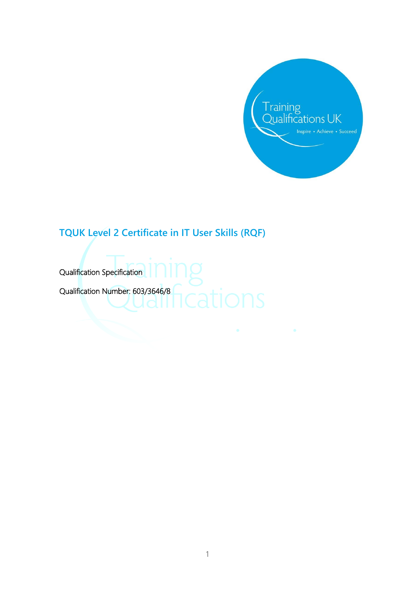

# **TQUK Level 2 Certificate in IT User Skills (RQF)**

 Qualification Specification Qualification Number: 603/3646/8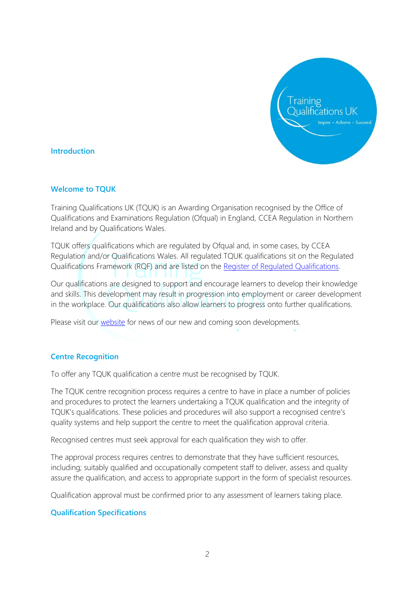

#### **Introduction**

#### **Welcome to TQUK**

Training Qualifications UK (TQUK) is an Awarding Organisation recognised by the Office of Qualifications and Examinations Regulation (Ofqual) in England, CCEA Regulation in Northern Ireland and by Qualifications Wales.

TQUK offers qualifications which are regulated by Ofqual and, in some cases, by CCEA Regulation and/or Qualifications Wales. All regulated TQUK qualifications sit on the Regulated Qualifications Framework (RQF) and are listed on the [Register of Regulated Qualifications.](https://register.ofqual.gov.uk/)

Our qualifications are designed to support and encourage learners to develop their knowledge and skills. This development may result in progression into employment or career development in the workplace. Our qualifications also allow learners to progress onto further qualifications.

Please visit our [website](https://www.tquk.org/qualification-development/) for news of our new and coming soon developments.

#### **Centre Recognition**

To offer any TQUK qualification a centre must be recognised by TQUK.

The TQUK centre recognition process requires a centre to have in place a number of policies and procedures to protect the learners undertaking a TQUK qualification and the integrity of TQUK's qualifications. These policies and procedures will also support a recognised centre's quality systems and help support the centre to meet the qualification approval criteria.

Recognised centres must seek approval for each qualification they wish to offer.

The approval process requires centres to demonstrate that they have sufficient resources, including; suitably qualified and occupationally competent staff to deliver, assess and quality assure the qualification, and access to appropriate support in the form of specialist resources.

Qualification approval must be confirmed prior to any assessment of learners taking place.

#### **Qualification Specifications**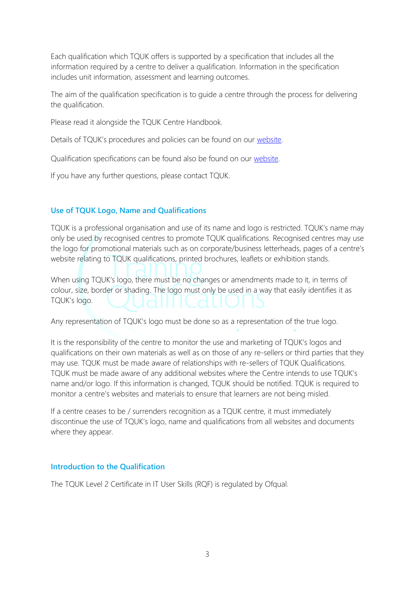Each qualification which TQUK offers is supported by a specification that includes all the information required by a centre to deliver a qualification. Information in the specification includes unit information, assessment and learning outcomes.

The aim of the qualification specification is to guide a centre through the process for delivering the qualification.

Please read it alongside the TQUK Centre Handbook.

Details of TQUK's procedures and policies can be found on our [website.](http://www.tquk.org/)

Qualification specifications can be found also be found on our [website.](http://www.tquk.org/)

If you have any further questions, please contact TQUK.

#### **Use of TQUK Logo, Name and Qualifications**

TQUK is a professional organisation and use of its name and logo is restricted. TQUK's name may only be used by recognised centres to promote TQUK qualifications. Recognised centres may use the logo for promotional materials such as on corporate/business letterheads, pages of a centre's website relating to TQUK qualifications, printed brochures, leaflets or exhibition stands.

When using TQUK's logo, there must be no changes or amendments made to it, in terms of colour, size, border or shading. The logo must only be used in a way that easily identifies it as TQUK's logo.

Any representation of TQUK's logo must be done so as a representation of the true logo.

It is the responsibility of the centre to monitor the use and marketing of TQUK's logos and qualifications on their own materials as well as on those of any re-sellers or third parties that they may use. TQUK must be made aware of relationships with re-sellers of TQUK Qualifications. TQUK must be made aware of any additional websites where the Centre intends to use TQUK's name and/or logo. If this information is changed, TQUK should be notified. TQUK is required to monitor a centre's websites and materials to ensure that learners are not being misled.

If a centre ceases to be / surrenders recognition as a TQUK centre, it must immediately discontinue the use of TQUK's logo, name and qualifications from all websites and documents where they appear.

#### **Introduction to the Qualification**

The TQUK Level 2 Certificate in IT User Skills (RQF) is regulated by Ofqual.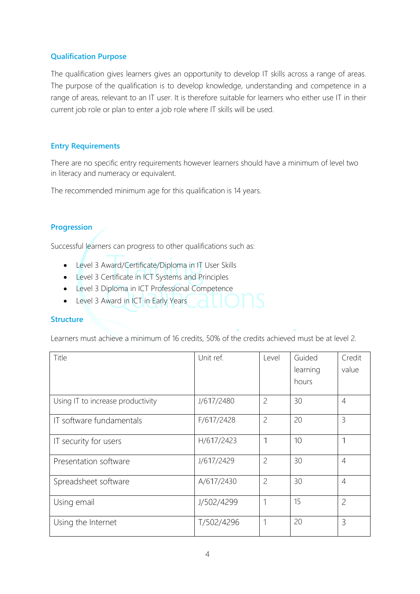## **Qualification Purpose**

The qualification gives learners gives an opportunity to develop IT skills across a range of areas. The purpose of the qualification is to develop knowledge, understanding and competence in a range of areas, relevant to an IT user. It is therefore suitable for learners who either use IT in their current job role or plan to enter a job role where IT skills will be used.

## **Entry Requirements**

There are no specific entry requirements however learners should have a minimum of level two in literacy and numeracy or equivalent.

The recommended minimum age for this qualification is 14 years.

# **Progression**

Successful learners can progress to other qualifications such as:

- Level 3 Award/Certificate/Diploma in IT User Skills
- Level 3 Certificate in ICT Systems and Principles
- Level 3 Diploma in ICT Professional Competence
- Level 3 Award in ICT in Early Years

#### **Structure**

Learners must achieve a minimum of 16 credits, 50% of the credits achieved must be at level 2.

| Title                             | Unit ref.  | Level          | Guided   | Credit         |
|-----------------------------------|------------|----------------|----------|----------------|
|                                   |            |                | learning | value          |
|                                   |            |                | hours    |                |
| Using IT to increase productivity | J/617/2480 | $\overline{c}$ | 30       | $\overline{4}$ |
| IT software fundamentals          | F/617/2428 | $\overline{c}$ | 20       | 3              |
| IT security for users             | H/617/2423 | $\mathbf 1$    | 10       | 1              |
| Presentation software             | J/617/2429 | $\overline{c}$ | 30       | $\overline{4}$ |
| Spreadsheet software              | A/617/2430 | $\overline{c}$ | 30       | $\overline{4}$ |
| Using email                       | J/502/4299 | 1              | 15       | $\overline{c}$ |
| Using the Internet                | T/502/4296 | 1              | 20       | 3              |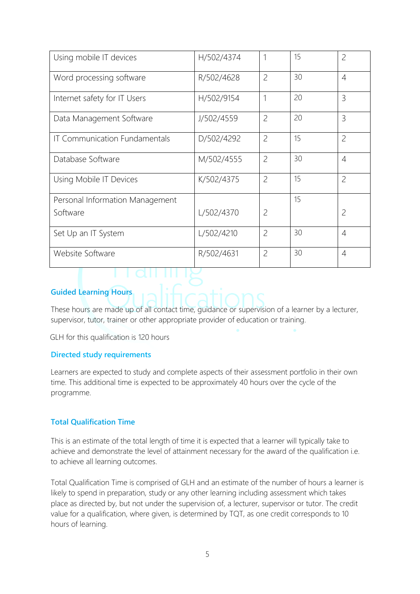| Using mobile IT devices              | H/502/4374 | 1              | 15 | $\overline{c}$ |
|--------------------------------------|------------|----------------|----|----------------|
| Word processing software             | R/502/4628 | $\overline{c}$ | 30 | $\overline{4}$ |
| Internet safety for IT Users         | H/502/9154 | $\mathbf{1}$   | 20 | $\overline{3}$ |
| Data Management Software             | J/502/4559 | $\overline{c}$ | 20 | $\overline{3}$ |
| <b>IT Communication Fundamentals</b> | D/502/4292 | $\overline{c}$ | 15 | $\overline{c}$ |
| Database Software                    | M/502/4555 | $\overline{c}$ | 30 | $\overline{4}$ |
| Using Mobile IT Devices              | K/502/4375 | $\overline{c}$ | 15 | $\overline{c}$ |
| Personal Information Management      |            |                | 15 |                |
| Software                             | L/502/4370 | $\overline{2}$ |    | $\overline{2}$ |
| Set Up an IT System                  | L/502/4210 | $\overline{c}$ | 30 | $\overline{4}$ |
| Website Software                     | R/502/4631 | $\overline{c}$ | 30 | $\overline{4}$ |

# **Guided Learning Hours**

These hours are made up of all contact time, guidance or supervision of a learner by a lecturer, supervisor, tutor, trainer or other appropriate provider of education or training.

GLH for this qualification is 120 hours

#### **Directed study requirements**

Learners are expected to study and complete aspects of their assessment portfolio in their own time. This additional time is expected to be approximately 40 hours over the cycle of the programme.

#### **Total Qualification Time**

This is an estimate of the total length of time it is expected that a learner will typically take to achieve and demonstrate the level of attainment necessary for the award of the qualification i.e. to achieve all learning outcomes.

Total Qualification Time is comprised of GLH and an estimate of the number of hours a learner is likely to spend in preparation, study or any other learning including assessment which takes place as directed by, but not under the supervision of, a lecturer, supervisor or tutor. The credit value for a qualification, where given, is determined by TQT, as one credit corresponds to 10 hours of learning.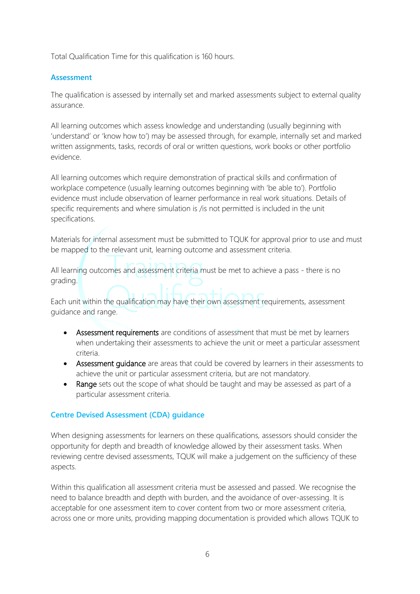Total Qualification Time for this qualification is 160 hours.

## **Assessment**

The qualification is assessed by internally set and marked assessments subject to external quality assurance.

All learning outcomes which assess knowledge and understanding (usually beginning with 'understand' or 'know how to') may be assessed through, for example, internally set and marked written assignments, tasks, records of oral or written questions, work books or other portfolio evidence.

All learning outcomes which require demonstration of practical skills and confirmation of workplace competence (usually learning outcomes beginning with 'be able to'). Portfolio evidence must include observation of learner performance in real work situations. Details of specific requirements and where simulation is /is not permitted is included in the unit specifications.

Materials for internal assessment must be submitted to TQUK for approval prior to use and must be mapped to the relevant unit, learning outcome and assessment criteria.

All learning outcomes and assessment criteria must be met to achieve a pass - there is no grading.

Each unit within the qualification may have their own assessment requirements, assessment guidance and range.

- Assessment requirements are conditions of assessment that must be met by learners when undertaking their assessments to achieve the unit or meet a particular assessment criteria.
- Assessment quidance are areas that could be covered by learners in their assessments to achieve the unit or particular assessment criteria, but are not mandatory.
- Range sets out the scope of what should be taught and may be assessed as part of a particular assessment criteria.

## **Centre Devised Assessment (CDA) guidance**

When designing assessments for learners on these qualifications, assessors should consider the opportunity for depth and breadth of knowledge allowed by their assessment tasks. When reviewing centre devised assessments, TQUK will make a judgement on the sufficiency of these aspects.

Within this qualification all assessment criteria must be assessed and passed. We recognise the need to balance breadth and depth with burden, and the avoidance of over-assessing. It is acceptable for one assessment item to cover content from two or more assessment criteria, across one or more units, providing mapping documentation is provided which allows TQUK to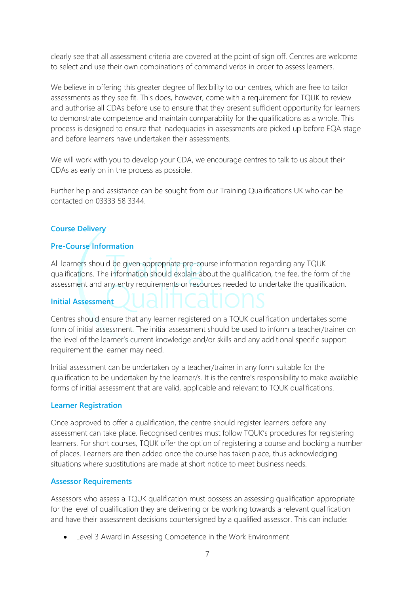clearly see that all assessment criteria are covered at the point of sign off. Centres are welcome to select and use their own combinations of command verbs in order to assess learners.

We believe in offering this greater degree of flexibility to our centres, which are free to tailor assessments as they see fit. This does, however, come with a requirement for TQUK to review and authorise all CDAs before use to ensure that they present sufficient opportunity for learners to demonstrate competence and maintain comparability for the qualifications as a whole. This process is designed to ensure that inadequacies in assessments are picked up before EQA stage and before learners have undertaken their assessments.

We will work with you to develop your CDA, we encourage centres to talk to us about their CDAs as early on in the process as possible.

Further help and assistance can be sought from our Training Qualifications UK who can be contacted on 03333 58 3344.

## **Course Delivery**

## **Pre-Course Information**

All learners should be given appropriate pre-course information regarding any TQUK qualifications. The information should explain about the qualification, the fee, the form of the assessment and any entry requirements or resources needed to undertake the qualification.

## **Initial Assessment**

Centres should ensure that any learner registered on a TQUK qualification undertakes some form of initial assessment. The initial assessment should be used to inform a teacher/trainer on the level of the learner's current knowledge and/or skills and any additional specific support requirement the learner may need.

Initial assessment can be undertaken by a teacher/trainer in any form suitable for the qualification to be undertaken by the learner/s. It is the centre's responsibility to make available forms of initial assessment that are valid, applicable and relevant to TQUK qualifications.

#### **Learner Registration**

Once approved to offer a qualification, the centre should register learners before any assessment can take place. Recognised centres must follow TQUK's procedures for registering learners. For short courses, TQUK offer the option of registering a course and booking a number of places. Learners are then added once the course has taken place, thus acknowledging situations where substitutions are made at short notice to meet business needs.

## **Assessor Requirements**

Assessors who assess a TQUK qualification must possess an assessing qualification appropriate for the level of qualification they are delivering or be working towards a relevant qualification and have their assessment decisions countersigned by a qualified assessor. This can include:

• Level 3 Award in Assessing Competence in the Work Environment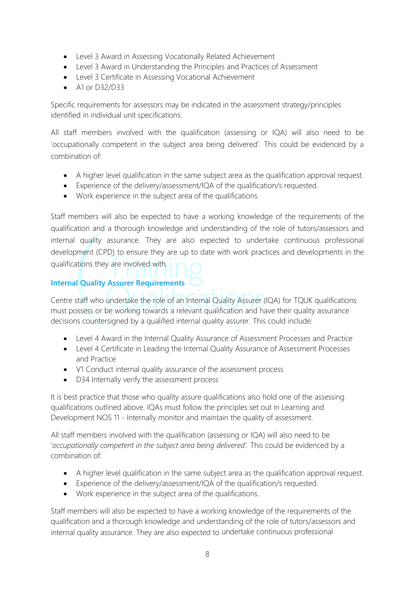- Level 3 Award in Assessing Vocationally Related Achievement
- Level 3 Award in Understanding the Principles and Practices of Assessment
- Level 3 Certificate in Assessing Vocational Achievement
- A1 or D32/D33

Specific requirements for assessors may be indicated in the assessment strategy/principles identified in individual unit specifications.

All staff members involved with the qualification (assessing or IQA) will also need to be 'occupationally competent in the subject area being delivered'. This could be evidenced by a combination of:

- A higher level qualification in the same subject area as the qualification approval request.
- Experience of the delivery/assessment/IQA of the qualification/s requested.
- Work experience in the subject area of the qualifications.

Staff members will also be expected to have a working knowledge of the requirements of the qualification and a thorough knowledge and understanding of the role of tutors/assessors and internal quality assurance. They are also expected to undertake continuous professional development (CPD) to ensure they are up to date with work practices and developments in the qualifications they are involved with.

# **Internal Quality Assurer Requirements**

Centre staff who undertake the role of an Internal Quality Assurer (IQA) for TQUK qualifications must possess or be working towards a relevant qualification and have their quality assurance decisions countersigned by a qualified internal quality assurer. This could include:

- Level 4 Award in the Internal Quality Assurance of Assessment Processes and Practice
- Level 4 Certificate in Leading the Internal Quality Assurance of Assessment Processes and Practice
- V1 Conduct internal quality assurance of the assessment process
- D34 Internally verify the assessment process

It is best practice that those who quality assure qualifications also hold one of the assessing qualifications outlined above. IQAs must follow the principles set out in Learning and Development NOS 11 - Internally monitor and maintain the quality of assessment.

All staff members involved with the qualification (assessing or IQA) will also need to be '*occupationally competent in the subject area being delivered'.* This could be evidenced by a combination of:

- A higher level qualification in the same subject area as the qualification approval request.
- Experience of the delivery/assessment/IQA of the qualification/s requested.
- Work experience in the subject area of the qualifications.

Staff members will also be expected to have a working knowledge of the requirements of the qualification and a thorough knowledge and understanding of the role of tutors/assessors and internal quality assurance. They are also expected to undertake continuous professional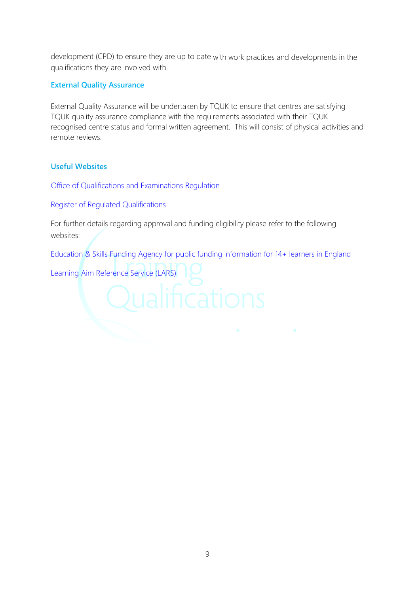development (CPD) to ensure they are up to date with work practices and developments in the qualifications they are involved with.

## **External Quality Assurance**

External Quality Assurance will be undertaken by TQUK to ensure that centres are satisfying TQUK quality assurance compliance with the requirements associated with their TQUK recognised centre status and formal written agreement. This will consist of physical activities and remote reviews.

## **Useful Websites**

[Office of Qualifications and Examinations Regulation](http://www.ofqual.gov.uk/)

[Register of Regulated Qualifications](http://register.ofqual.gov.uk/)

For further details regarding approval and funding eligibility please refer to the following websites:

[Education & Skills Funding Agency for public funding information for 14+ learners in England](https://www.gov.uk/government/organisations/education-and-skills-funding-agency)

[Learning Aim Reference Service \(LARS\)](https://findalearningaimbeta.fasst.org.uk/)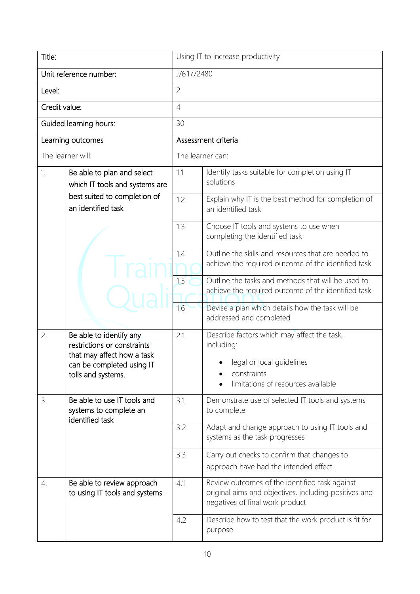| Title:                                                             |                                                                                                                                         | Using IT to increase productivity                                                                          |                                                                                                                                             |  |  |
|--------------------------------------------------------------------|-----------------------------------------------------------------------------------------------------------------------------------------|------------------------------------------------------------------------------------------------------------|---------------------------------------------------------------------------------------------------------------------------------------------|--|--|
|                                                                    | Unit reference number:                                                                                                                  | J/617/2480                                                                                                 |                                                                                                                                             |  |  |
| Level:                                                             |                                                                                                                                         | $\overline{c}$                                                                                             |                                                                                                                                             |  |  |
| Credit value:                                                      |                                                                                                                                         | $\overline{4}$                                                                                             |                                                                                                                                             |  |  |
|                                                                    | Guided learning hours:                                                                                                                  | 30                                                                                                         |                                                                                                                                             |  |  |
|                                                                    | Learning outcomes                                                                                                                       |                                                                                                            | Assessment criteria                                                                                                                         |  |  |
|                                                                    | The learner will:                                                                                                                       |                                                                                                            | The learner can:                                                                                                                            |  |  |
| 1.<br>Be able to plan and select<br>which IT tools and systems are | 1.1                                                                                                                                     | Identify tasks suitable for completion using IT<br>solutions                                               |                                                                                                                                             |  |  |
|                                                                    | best suited to completion of<br>an identified task                                                                                      | 1.2                                                                                                        | Explain why IT is the best method for completion of<br>an identified task                                                                   |  |  |
|                                                                    | 1.3                                                                                                                                     | Choose IT tools and systems to use when<br>completing the identified task                                  |                                                                                                                                             |  |  |
|                                                                    | 1.4                                                                                                                                     | Outline the skills and resources that are needed to<br>achieve the required outcome of the identified task |                                                                                                                                             |  |  |
|                                                                    | 1.5                                                                                                                                     | Outline the tasks and methods that will be used to<br>achieve the required outcome of the identified task  |                                                                                                                                             |  |  |
|                                                                    |                                                                                                                                         | 1.6                                                                                                        | Devise a plan which details how the task will be<br>addressed and completed                                                                 |  |  |
| 2.                                                                 | Be able to identify any<br>restrictions or constraints<br>that may affect how a task<br>can be completed using IT<br>tolls and systems. | 2.1                                                                                                        | Describe factors which may affect the task,<br>including:<br>legal or local guidelines<br>constraints<br>limitations of resources available |  |  |
| 3.                                                                 | Be able to use IT tools and<br>systems to complete an<br>identified task                                                                | 3.1                                                                                                        | Demonstrate use of selected IT tools and systems<br>to complete                                                                             |  |  |
|                                                                    |                                                                                                                                         | 3.2                                                                                                        | Adapt and change approach to using IT tools and<br>systems as the task progresses                                                           |  |  |
|                                                                    | 3.3                                                                                                                                     | Carry out checks to confirm that changes to<br>approach have had the intended effect.                      |                                                                                                                                             |  |  |
| $\overline{4}$ .                                                   | Be able to review approach<br>to using IT tools and systems                                                                             | 4.1                                                                                                        | Review outcomes of the identified task against<br>original aims and objectives, including positives and<br>negatives of final work product  |  |  |
|                                                                    |                                                                                                                                         | 4.2                                                                                                        | Describe how to test that the work product is fit for<br>purpose                                                                            |  |  |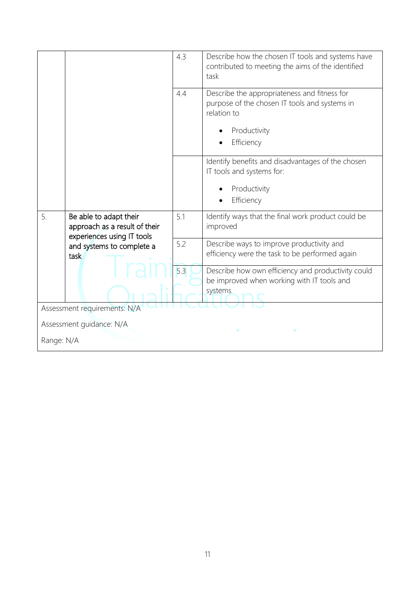|                          |                                                                                       | 4.3 | Describe how the chosen IT tools and systems have<br>contributed to meeting the aims of the identified<br>task                             |  |
|--------------------------|---------------------------------------------------------------------------------------|-----|--------------------------------------------------------------------------------------------------------------------------------------------|--|
|                          |                                                                                       | 4.4 | Describe the appropriateness and fitness for<br>purpose of the chosen IT tools and systems in<br>relation to<br>Productivity<br>Efficiency |  |
|                          |                                                                                       |     | Identify benefits and disadvantages of the chosen<br>IT tools and systems for:<br>Productivity<br>Efficiency                               |  |
| 5.                       | Be able to adapt their<br>approach as a result of their<br>experiences using IT tools | 5.1 | Identify ways that the final work product could be<br>improved                                                                             |  |
|                          | and systems to complete a<br>task                                                     | 5.2 | Describe ways to improve productivity and<br>efficiency were the task to be performed again                                                |  |
|                          |                                                                                       | 5.3 | Describe how own efficiency and productivity could<br>be improved when working with IT tools and<br>systems                                |  |
|                          | Assessment requirements: N/A                                                          |     |                                                                                                                                            |  |
| Assessment guidance: N/A |                                                                                       |     |                                                                                                                                            |  |
| Range: N/A               |                                                                                       |     |                                                                                                                                            |  |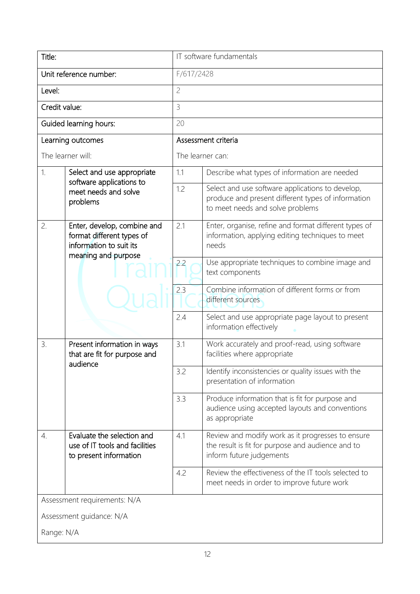| Title:                                                                                                           |                                                                                        | IT software fundamentals                                                                                           |                                                                                                                                            |  |  |
|------------------------------------------------------------------------------------------------------------------|----------------------------------------------------------------------------------------|--------------------------------------------------------------------------------------------------------------------|--------------------------------------------------------------------------------------------------------------------------------------------|--|--|
|                                                                                                                  | Unit reference number:                                                                 | F/617/2428                                                                                                         |                                                                                                                                            |  |  |
| Level:                                                                                                           |                                                                                        | $\overline{c}$                                                                                                     |                                                                                                                                            |  |  |
| Credit value:                                                                                                    |                                                                                        | 3                                                                                                                  |                                                                                                                                            |  |  |
|                                                                                                                  | Guided learning hours:                                                                 | 20                                                                                                                 |                                                                                                                                            |  |  |
|                                                                                                                  | Learning outcomes                                                                      |                                                                                                                    | Assessment criteria                                                                                                                        |  |  |
|                                                                                                                  | The learner will:                                                                      |                                                                                                                    | The learner can:                                                                                                                           |  |  |
| 1.                                                                                                               | Select and use appropriate                                                             | 1.1                                                                                                                | Describe what types of information are needed                                                                                              |  |  |
|                                                                                                                  | software applications to<br>meet needs and solve<br>problems                           | 1.2                                                                                                                | Select and use software applications to develop,<br>produce and present different types of information<br>to meet needs and solve problems |  |  |
| Enter, develop, combine and<br>2.<br>format different types of<br>information to suit its<br>meaning and purpose | 2.1                                                                                    | Enter, organise, refine and format different types of<br>information, applying editing techniques to meet<br>needs |                                                                                                                                            |  |  |
|                                                                                                                  |                                                                                        | 2.2                                                                                                                | Use appropriate techniques to combine image and<br>text components                                                                         |  |  |
|                                                                                                                  | 2.3                                                                                    | Combine information of different forms or from<br>different sources                                                |                                                                                                                                            |  |  |
|                                                                                                                  |                                                                                        | 2.4                                                                                                                | Select and use appropriate page layout to present<br>information effectively                                                               |  |  |
| 3.                                                                                                               | Present information in ways<br>that are fit for purpose and<br>audience                | 3.1                                                                                                                | Work accurately and proof-read, using software<br>facilities where appropriate                                                             |  |  |
|                                                                                                                  |                                                                                        | 3.2                                                                                                                | Identify inconsistencies or quality issues with the<br>presentation of information                                                         |  |  |
|                                                                                                                  |                                                                                        | 3.3                                                                                                                | Produce information that is fit for purpose and<br>audience using accepted layouts and conventions<br>as appropriate                       |  |  |
| 4.                                                                                                               | Evaluate the selection and<br>use of IT tools and facilities<br>to present information | 4.1                                                                                                                | Review and modify work as it progresses to ensure<br>the result is fit for purpose and audience and to<br>inform future judgements         |  |  |
|                                                                                                                  |                                                                                        | 4.2                                                                                                                | Review the effectiveness of the IT tools selected to<br>meet needs in order to improve future work                                         |  |  |
|                                                                                                                  | Assessment requirements: N/A                                                           |                                                                                                                    |                                                                                                                                            |  |  |
| Assessment guidance: N/A                                                                                         |                                                                                        |                                                                                                                    |                                                                                                                                            |  |  |
| Range: N/A                                                                                                       |                                                                                        |                                                                                                                    |                                                                                                                                            |  |  |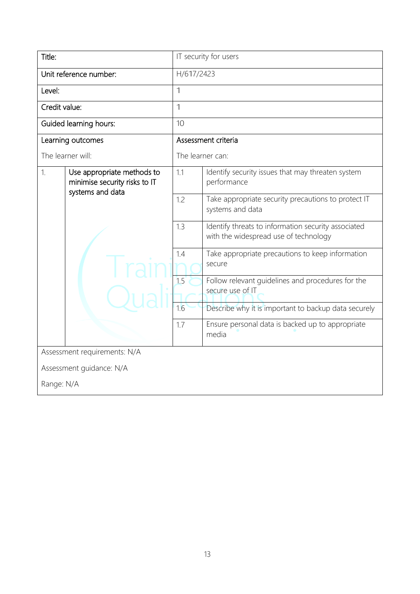| Title:                                                                                | IT security for users                                                                               |  |  |
|---------------------------------------------------------------------------------------|-----------------------------------------------------------------------------------------------------|--|--|
| Unit reference number:                                                                | H/617/2423                                                                                          |  |  |
| Level:                                                                                | $\mathbf 1$                                                                                         |  |  |
| Credit value:                                                                         | $\mathbf 1$                                                                                         |  |  |
| Guided learning hours:                                                                | 10                                                                                                  |  |  |
| Learning outcomes                                                                     | Assessment criteria                                                                                 |  |  |
| The learner will:                                                                     | The learner can:                                                                                    |  |  |
| 1.<br>Use appropriate methods to<br>minimise security risks to IT<br>systems and data | 1.1<br>Identify security issues that may threaten system<br>performance                             |  |  |
|                                                                                       | 1.2<br>Take appropriate security precautions to protect IT<br>systems and data                      |  |  |
|                                                                                       | Identify threats to information security associated<br>1.3<br>with the widespread use of technology |  |  |
|                                                                                       | Take appropriate precautions to keep information<br>1.4<br>secure                                   |  |  |
|                                                                                       | 1.5<br>Follow relevant quidelines and procedures for the<br>secure use of IT                        |  |  |
|                                                                                       | 1.6<br>Describe why it is important to backup data securely                                         |  |  |
|                                                                                       | 1.7<br>Ensure personal data is backed up to appropriate<br>media                                    |  |  |
| Assessment requirements: N/A                                                          |                                                                                                     |  |  |
| Assessment guidance: N/A                                                              |                                                                                                     |  |  |
| Range: N/A                                                                            |                                                                                                     |  |  |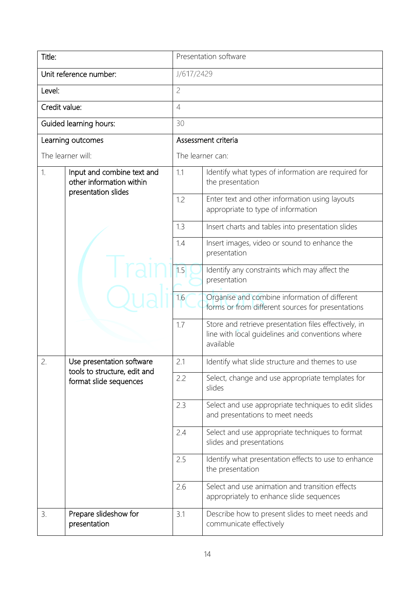| Title:                                                       |                                                        | Presentation software                                                   |                                                                                                                        |  |  |  |
|--------------------------------------------------------------|--------------------------------------------------------|-------------------------------------------------------------------------|------------------------------------------------------------------------------------------------------------------------|--|--|--|
|                                                              | Unit reference number:                                 | J/617/2429                                                              |                                                                                                                        |  |  |  |
| Level:                                                       |                                                        | $\overline{c}$                                                          |                                                                                                                        |  |  |  |
| Credit value:                                                |                                                        | $\overline{4}$                                                          |                                                                                                                        |  |  |  |
|                                                              | Guided learning hours:                                 | 30                                                                      |                                                                                                                        |  |  |  |
|                                                              | Learning outcomes                                      |                                                                         | Assessment criteria                                                                                                    |  |  |  |
|                                                              | The learner will:                                      |                                                                         | The learner can:                                                                                                       |  |  |  |
| 1.<br>Input and combine text and<br>other information within | 1.1                                                    | Identify what types of information are required for<br>the presentation |                                                                                                                        |  |  |  |
|                                                              | presentation slides                                    | 1.2                                                                     | Enter text and other information using layouts<br>appropriate to type of information                                   |  |  |  |
|                                                              | 1.3                                                    | Insert charts and tables into presentation slides                       |                                                                                                                        |  |  |  |
|                                                              | 1.4                                                    | Insert images, video or sound to enhance the<br>presentation            |                                                                                                                        |  |  |  |
|                                                              | 1.5                                                    | Identify any constraints which may affect the<br>presentation           |                                                                                                                        |  |  |  |
|                                                              |                                                        | 1.6                                                                     | Organise and combine information of different<br>forms or from different sources for presentations                     |  |  |  |
|                                                              |                                                        | 1.7                                                                     | Store and retrieve presentation files effectively, in<br>line with local guidelines and conventions where<br>available |  |  |  |
| 2.                                                           | Use presentation software                              | 2.1                                                                     | Identify what slide structure and themes to use                                                                        |  |  |  |
|                                                              | tools to structure, edit and<br>format slide sequences | 2.2                                                                     | Select, change and use appropriate templates for<br>slides                                                             |  |  |  |
|                                                              |                                                        | 2.3                                                                     | Select and use appropriate techniques to edit slides<br>and presentations to meet needs                                |  |  |  |
|                                                              |                                                        | 2.4                                                                     | Select and use appropriate techniques to format<br>slides and presentations                                            |  |  |  |
|                                                              |                                                        | 2.5                                                                     | Identify what presentation effects to use to enhance<br>the presentation                                               |  |  |  |
|                                                              |                                                        | 2.6                                                                     | Select and use animation and transition effects<br>appropriately to enhance slide sequences                            |  |  |  |
| 3.                                                           | Prepare slideshow for<br>presentation                  | 3.1                                                                     | Describe how to present slides to meet needs and<br>communicate effectively                                            |  |  |  |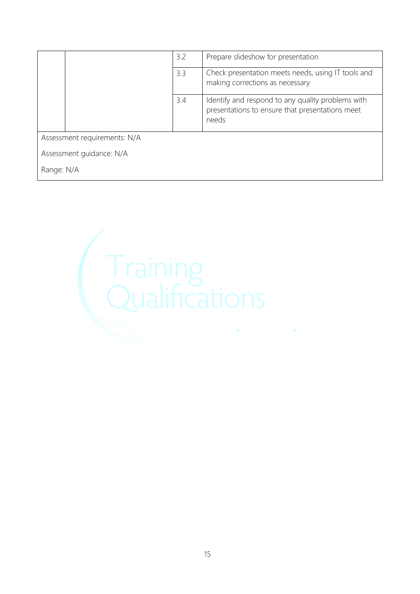|                          |                              | 3.2 | Prepare slideshow for presentation                                                                            |  |
|--------------------------|------------------------------|-----|---------------------------------------------------------------------------------------------------------------|--|
|                          |                              | 3.3 | Check presentation meets needs, using IT tools and<br>making corrections as necessary                         |  |
|                          |                              | 3.4 | Identify and respond to any quality problems with<br>presentations to ensure that presentations meet<br>needs |  |
|                          | Assessment requirements: N/A |     |                                                                                                               |  |
| Assessment guidance: N/A |                              |     |                                                                                                               |  |
| Range: N/A               |                              |     |                                                                                                               |  |

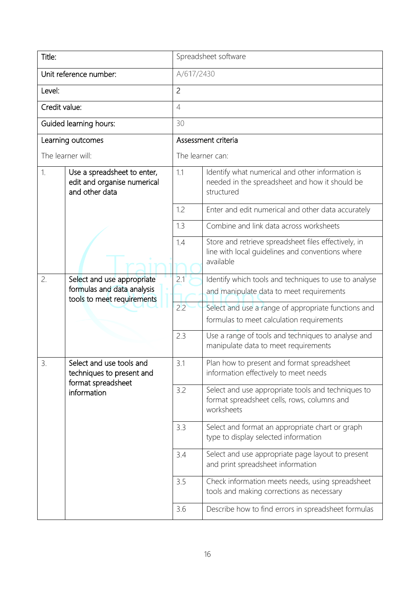| Title:                 |                                                                              | Spreadsheet software                                                                                                  |                                                                                                                  |  |  |  |
|------------------------|------------------------------------------------------------------------------|-----------------------------------------------------------------------------------------------------------------------|------------------------------------------------------------------------------------------------------------------|--|--|--|
| Unit reference number: |                                                                              |                                                                                                                       | A/617/2430                                                                                                       |  |  |  |
| Level:                 |                                                                              | $\overline{2}$                                                                                                        |                                                                                                                  |  |  |  |
| Credit value:          |                                                                              | $\overline{4}$                                                                                                        |                                                                                                                  |  |  |  |
|                        | Guided learning hours:                                                       | 30                                                                                                                    |                                                                                                                  |  |  |  |
|                        | Learning outcomes                                                            |                                                                                                                       | Assessment criteria                                                                                              |  |  |  |
|                        | The learner will:                                                            |                                                                                                                       | The learner can:                                                                                                 |  |  |  |
| 1.                     | Use a spreadsheet to enter,<br>edit and organise numerical<br>and other data | 1.1                                                                                                                   | Identify what numerical and other information is<br>needed in the spreadsheet and how it should be<br>structured |  |  |  |
|                        |                                                                              | 1.2                                                                                                                   | Enter and edit numerical and other data accurately                                                               |  |  |  |
|                        |                                                                              | 1.3                                                                                                                   | Combine and link data across worksheets                                                                          |  |  |  |
|                        | 1.4                                                                          | Store and retrieve spreadsheet files effectively, in<br>line with local guidelines and conventions where<br>available |                                                                                                                  |  |  |  |
| 2.                     | Select and use appropriate                                                   | 2.1                                                                                                                   | Identify which tools and techniques to use to analyse                                                            |  |  |  |
|                        | formulas and data analysis<br>tools to meet requirements                     |                                                                                                                       | and manipulate data to meet requirements                                                                         |  |  |  |
|                        |                                                                              | 2.2                                                                                                                   | Select and use a range of appropriate functions and<br>formulas to meet calculation requirements                 |  |  |  |
|                        |                                                                              | 2.3                                                                                                                   | Use a range of tools and techniques to analyse and<br>manipulate data to meet requirements                       |  |  |  |
| 3                      | Select and use tools and<br>techniques to present and<br>format spreadsheet  | 3.1                                                                                                                   | Plan how to present and format spreadsheet<br>information effectively to meet needs                              |  |  |  |
|                        | information                                                                  | 3.2                                                                                                                   | Select and use appropriate tools and techniques to<br>format spreadsheet cells, rows, columns and<br>worksheets  |  |  |  |
|                        |                                                                              | 3.3                                                                                                                   | Select and format an appropriate chart or graph<br>type to display selected information                          |  |  |  |
|                        | 3.4                                                                          | Select and use appropriate page layout to present<br>and print spreadsheet information                                |                                                                                                                  |  |  |  |
|                        |                                                                              | 3.5                                                                                                                   | Check information meets needs, using spreadsheet<br>tools and making corrections as necessary                    |  |  |  |
|                        |                                                                              | 3.6                                                                                                                   | Describe how to find errors in spreadsheet formulas                                                              |  |  |  |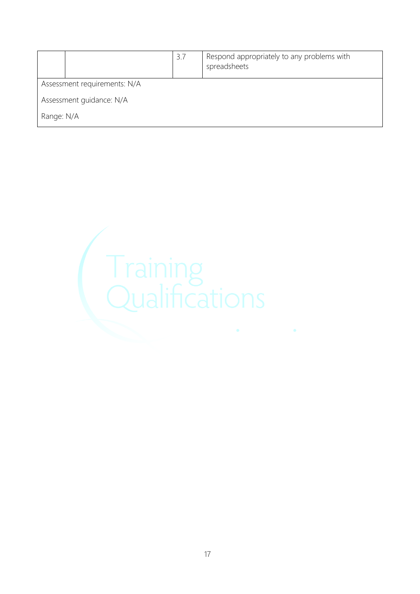|                              |  | 3.7 | Respond appropriately to any problems with<br>spreadsheets |  |
|------------------------------|--|-----|------------------------------------------------------------|--|
| Assessment requirements: N/A |  |     |                                                            |  |
| Assessment guidance: N/A     |  |     |                                                            |  |
| Range: N/A                   |  |     |                                                            |  |

![](_page_16_Picture_1.jpeg)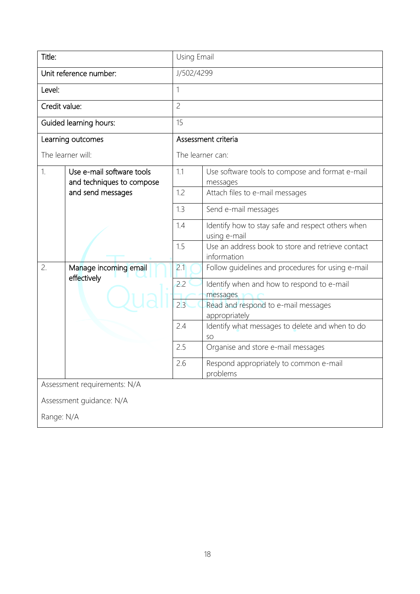| Title:        |                                                        | Using Email                                                       |                                                                  |  |  |  |  |
|---------------|--------------------------------------------------------|-------------------------------------------------------------------|------------------------------------------------------------------|--|--|--|--|
|               | Unit reference number:                                 |                                                                   | J/502/4299                                                       |  |  |  |  |
| Level:        |                                                        | 1                                                                 |                                                                  |  |  |  |  |
| Credit value: |                                                        | $\overline{c}$                                                    |                                                                  |  |  |  |  |
|               | Guided learning hours:                                 | 15                                                                |                                                                  |  |  |  |  |
|               | Learning outcomes                                      |                                                                   | Assessment criteria                                              |  |  |  |  |
|               | The learner will:                                      |                                                                   | The learner can:                                                 |  |  |  |  |
| 1.            | Use e-mail software tools<br>and techniques to compose | 1.1                                                               | Use software tools to compose and format e-mail<br>messages      |  |  |  |  |
|               | and send messages                                      | 1.2                                                               | Attach files to e-mail messages                                  |  |  |  |  |
|               |                                                        | 1.3                                                               | Send e-mail messages                                             |  |  |  |  |
|               | 1.4                                                    | Identify how to stay safe and respect others when<br>using e-mail |                                                                  |  |  |  |  |
|               |                                                        | 1.5                                                               | Use an address book to store and retrieve contact<br>information |  |  |  |  |
| 2.            | Manage incoming email                                  | 2.1                                                               | Follow guidelines and procedures for using e-mail                |  |  |  |  |
|               | effectively                                            | 2.2                                                               | Identify when and how to respond to e-mail<br>messages           |  |  |  |  |
|               |                                                        | 2.3                                                               | Read and respond to e-mail messages<br>appropriately             |  |  |  |  |
|               |                                                        | 2.4                                                               | Identify what messages to delete and when to do<br>SO            |  |  |  |  |
|               |                                                        | 2.5                                                               | Organise and store e-mail messages                               |  |  |  |  |
|               |                                                        | 2.6                                                               | Respond appropriately to common e-mail<br>problems               |  |  |  |  |
|               | Assessment requirements: N/A                           |                                                                   |                                                                  |  |  |  |  |
|               | Assessment guidance: N/A                               |                                                                   |                                                                  |  |  |  |  |
| Range: N/A    |                                                        |                                                                   |                                                                  |  |  |  |  |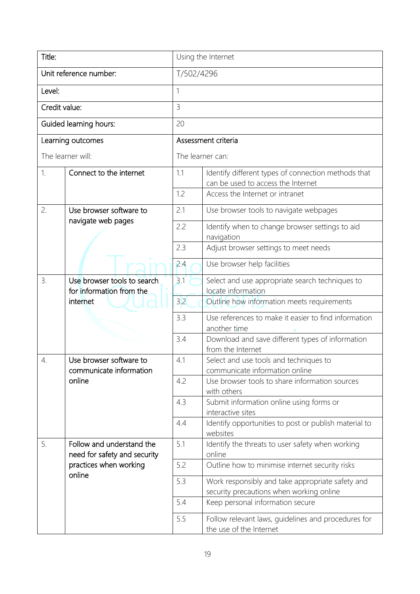| Title:        |                                                           | Using the Internet |                                                                                              |  |  |
|---------------|-----------------------------------------------------------|--------------------|----------------------------------------------------------------------------------------------|--|--|
|               | Unit reference number:                                    | T/502/4296         |                                                                                              |  |  |
| Level:        |                                                           | 1                  |                                                                                              |  |  |
| Credit value: |                                                           | $\overline{3}$     |                                                                                              |  |  |
|               | Guided learning hours:                                    | 20                 |                                                                                              |  |  |
|               | Learning outcomes                                         |                    | Assessment criteria                                                                          |  |  |
|               | The learner will:                                         |                    | The learner can:                                                                             |  |  |
| 1.            | Connect to the internet                                   | 1.1                | Identify different types of connection methods that<br>can be used to access the Internet    |  |  |
|               |                                                           | 1.2                | Access the Internet or intranet                                                              |  |  |
| 2.            | Use browser software to                                   | 2.1                | Use browser tools to navigate webpages                                                       |  |  |
|               | navigate web pages                                        | 2.2                | Identify when to change browser settings to aid<br>navigation                                |  |  |
|               |                                                           | 2.3                | Adjust browser settings to meet needs                                                        |  |  |
|               |                                                           | 2.4                | Use browser help facilities                                                                  |  |  |
| 3.            | Use browser tools to search<br>for information from the   | 3.1                | Select and use appropriate search techniques to<br>locate information                        |  |  |
|               | internet                                                  | 3.2                | Outline how information meets requirements                                                   |  |  |
|               |                                                           | 3.3                | Use references to make it easier to find information<br>another time                         |  |  |
|               |                                                           | 3.4                | Download and save different types of information<br>from the Internet                        |  |  |
| 4.            | Use browser software to<br>communicate information        | 4.1                | Select and use tools and techniques to<br>communicate information online                     |  |  |
|               | online                                                    | 4.2                | Use browser tools to share information sources<br>with others                                |  |  |
|               |                                                           | 4.3                | Submit information online using forms or<br>interactive sites                                |  |  |
|               |                                                           | 4.4                | Identify opportunities to post or publish material to<br>websites                            |  |  |
| 5.            | Follow and understand the<br>need for safety and security | 5.1                | Identify the threats to user safety when working<br>online                                   |  |  |
|               | practices when working                                    | 5.2                | Outline how to minimise internet security risks                                              |  |  |
|               | online                                                    | 5.3                | Work responsibly and take appropriate safety and<br>security precautions when working online |  |  |
|               |                                                           | 5.4                | Keep personal information secure                                                             |  |  |
|               |                                                           | 5.5                | Follow relevant laws, guidelines and procedures for<br>the use of the Internet               |  |  |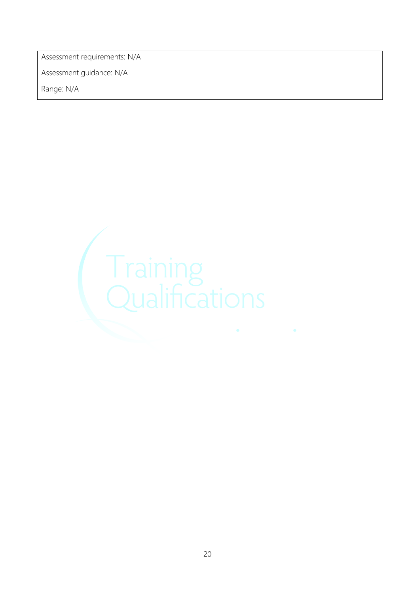Assessment requirements: N/A

Assessment guidance: N/A

![](_page_19_Picture_3.jpeg)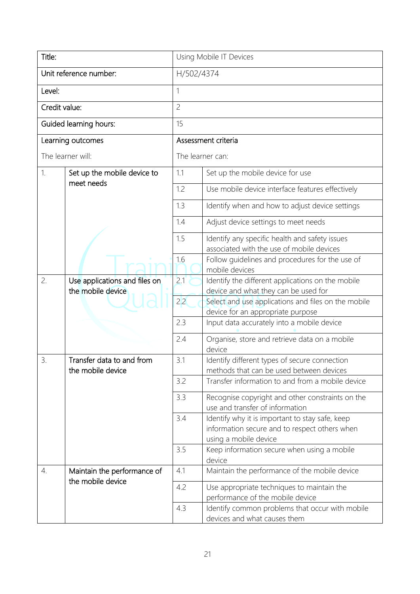| Title:                                                   |                                                |                                                                                          | Using Mobile IT Devices                                                                                                   |  |  |  |
|----------------------------------------------------------|------------------------------------------------|------------------------------------------------------------------------------------------|---------------------------------------------------------------------------------------------------------------------------|--|--|--|
| Unit reference number:                                   |                                                |                                                                                          | H/502/4374                                                                                                                |  |  |  |
| Level:                                                   |                                                | 1                                                                                        |                                                                                                                           |  |  |  |
| Credit value:                                            |                                                | $\overline{c}$                                                                           |                                                                                                                           |  |  |  |
|                                                          | Guided learning hours:                         | 15                                                                                       |                                                                                                                           |  |  |  |
|                                                          | Learning outcomes                              |                                                                                          | Assessment criteria                                                                                                       |  |  |  |
|                                                          | The learner will:                              |                                                                                          | The learner can:                                                                                                          |  |  |  |
| 1.                                                       | Set up the mobile device to<br>meet needs      | 1.1                                                                                      | Set up the mobile device for use                                                                                          |  |  |  |
|                                                          |                                                | 1.2                                                                                      | Use mobile device interface features effectively                                                                          |  |  |  |
|                                                          |                                                | 1.3                                                                                      | Identify when and how to adjust device settings                                                                           |  |  |  |
|                                                          |                                                | 1.4                                                                                      | Adjust device settings to meet needs                                                                                      |  |  |  |
|                                                          |                                                | 1.5                                                                                      | Identify any specific health and safety issues<br>associated with the use of mobile devices                               |  |  |  |
|                                                          |                                                | 1.6                                                                                      | Follow guidelines and procedures for the use of<br>mobile devices                                                         |  |  |  |
| 2.<br>Use applications and files on<br>the mobile device |                                                | 2.1                                                                                      | Identify the different applications on the mobile<br>device and what they can be used for                                 |  |  |  |
|                                                          | 2.2                                            | Select and use applications and files on the mobile<br>device for an appropriate purpose |                                                                                                                           |  |  |  |
|                                                          |                                                | 2.3                                                                                      | Input data accurately into a mobile device                                                                                |  |  |  |
|                                                          |                                                | 2.4                                                                                      | Organise, store and retrieve data on a mobile<br>device                                                                   |  |  |  |
| 3.                                                       | Transfer data to and from<br>the mobile device | 3.1                                                                                      | Identify different types of secure connection<br>methods that can be used between devices                                 |  |  |  |
|                                                          |                                                | 3.2                                                                                      | Transfer information to and from a mobile device                                                                          |  |  |  |
|                                                          |                                                | 3.3                                                                                      | Recognise copyright and other constraints on the<br>use and transfer of information                                       |  |  |  |
|                                                          |                                                | 3.4                                                                                      | Identify why it is important to stay safe, keep<br>information secure and to respect others when<br>using a mobile device |  |  |  |
|                                                          |                                                | 3.5                                                                                      | Keep information secure when using a mobile<br>device                                                                     |  |  |  |
| 4.                                                       | Maintain the performance of                    | 4.1                                                                                      | Maintain the performance of the mobile device                                                                             |  |  |  |
|                                                          | the mobile device                              | 4.2                                                                                      | Use appropriate techniques to maintain the<br>performance of the mobile device                                            |  |  |  |
|                                                          |                                                | 4.3                                                                                      | Identify common problems that occur with mobile<br>devices and what causes them                                           |  |  |  |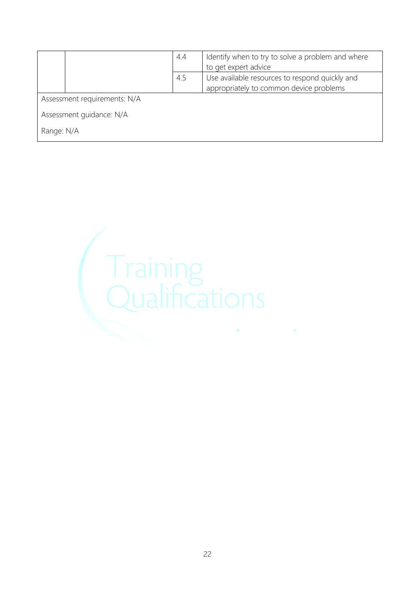|                              |  | 4.4 | Identify when to try to solve a problem and where<br>to get expert advice |  |
|------------------------------|--|-----|---------------------------------------------------------------------------|--|
|                              |  | 4.5 | Use available resources to respond quickly and                            |  |
|                              |  |     | appropriately to common device problems                                   |  |
| Assessment requirements: N/A |  |     |                                                                           |  |
| Assessment guidance: N/A     |  |     |                                                                           |  |
| Range: N/A                   |  |     |                                                                           |  |

![](_page_21_Picture_1.jpeg)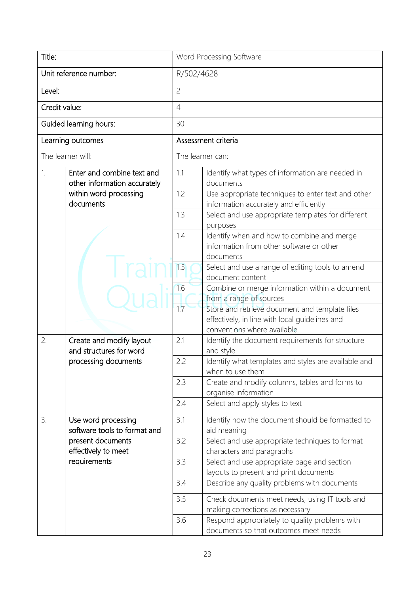| Title:                 |                                                            |                                                                                                     | Word Processing Software                                                                                                        |  |  |
|------------------------|------------------------------------------------------------|-----------------------------------------------------------------------------------------------------|---------------------------------------------------------------------------------------------------------------------------------|--|--|
| Unit reference number: |                                                            |                                                                                                     | R/502/4628                                                                                                                      |  |  |
| Level:                 |                                                            | $\overline{c}$                                                                                      |                                                                                                                                 |  |  |
| Credit value:          |                                                            | $\overline{4}$                                                                                      |                                                                                                                                 |  |  |
|                        | Guided learning hours:                                     | 30                                                                                                  |                                                                                                                                 |  |  |
| Learning outcomes      |                                                            |                                                                                                     | Assessment criteria                                                                                                             |  |  |
| The learner will:      |                                                            |                                                                                                     | The learner can:                                                                                                                |  |  |
| 1.                     | Enter and combine text and<br>other information accurately | 1.1                                                                                                 | Identify what types of information are needed in<br>documents                                                                   |  |  |
|                        | within word processing<br>documents                        | 1.2                                                                                                 | Use appropriate techniques to enter text and other<br>information accurately and efficiently                                    |  |  |
|                        |                                                            | 1.3                                                                                                 | Select and use appropriate templates for different<br>purposes                                                                  |  |  |
|                        | 1.4                                                        | Identify when and how to combine and merge<br>information from other software or other<br>documents |                                                                                                                                 |  |  |
|                        | 1.5                                                        | Select and use a range of editing tools to amend<br>document content                                |                                                                                                                                 |  |  |
|                        |                                                            | 1.6                                                                                                 | Combine or merge information within a document<br>from a range of sources                                                       |  |  |
|                        |                                                            | 1.7                                                                                                 | Store and retrieve document and template files<br>effectively, in line with local guidelines and<br>conventions where available |  |  |
| 2.                     | Create and modify layout<br>and structures for word        | 2.1                                                                                                 | Identify the document requirements for structure<br>and style                                                                   |  |  |
|                        | processing documents                                       | 2.2                                                                                                 | Identify what templates and styles are available and<br>when to use them                                                        |  |  |
|                        |                                                            | 2.3                                                                                                 | Create and modify columns, tables and forms to<br>organise information                                                          |  |  |
|                        |                                                            | 2.4                                                                                                 | Select and apply styles to text                                                                                                 |  |  |
| 3.                     | Use word processing<br>software tools to format and        | 3.1                                                                                                 | Identify how the document should be formatted to<br>aid meaning                                                                 |  |  |
|                        | present documents<br>effectively to meet                   | 3.2                                                                                                 | Select and use appropriate techniques to format<br>characters and paragraphs                                                    |  |  |
|                        | requirements                                               | 3.3                                                                                                 | Select and use appropriate page and section<br>layouts to present and print documents                                           |  |  |
|                        |                                                            | 3.4                                                                                                 | Describe any quality problems with documents                                                                                    |  |  |
|                        |                                                            | 3.5                                                                                                 | Check documents meet needs, using IT tools and<br>making corrections as necessary                                               |  |  |
|                        |                                                            | 3.6                                                                                                 | Respond appropriately to quality problems with<br>documents so that outcomes meet needs                                         |  |  |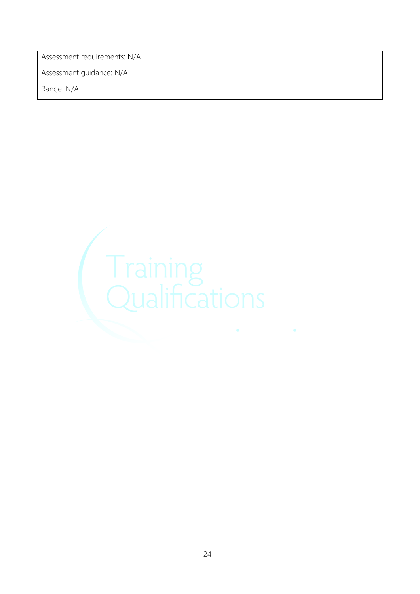Assessment requirements: N/A

Assessment guidance: N/A

![](_page_23_Picture_3.jpeg)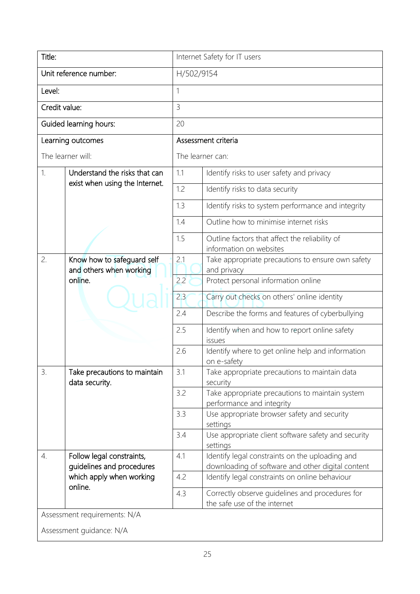| Title:                       |                                                                  | Internet Safety for IT users |                                                                                                      |  |  |  |
|------------------------------|------------------------------------------------------------------|------------------------------|------------------------------------------------------------------------------------------------------|--|--|--|
| Unit reference number:       |                                                                  |                              | H/502/9154                                                                                           |  |  |  |
| Level:                       |                                                                  | 1                            |                                                                                                      |  |  |  |
| Credit value:                |                                                                  | $\overline{3}$               |                                                                                                      |  |  |  |
|                              | Guided learning hours:                                           | 20                           |                                                                                                      |  |  |  |
| Learning outcomes            |                                                                  |                              | Assessment criteria                                                                                  |  |  |  |
|                              | The learner will:                                                |                              | The learner can:                                                                                     |  |  |  |
| $\mathbf{1}$                 | Understand the risks that can                                    | 1.1                          | Identify risks to user safety and privacy                                                            |  |  |  |
|                              | exist when using the Internet.                                   | 1.2                          | Identify risks to data security                                                                      |  |  |  |
|                              |                                                                  | 1.3                          | Identify risks to system performance and integrity                                                   |  |  |  |
|                              |                                                                  | 1.4                          | Outline how to minimise internet risks                                                               |  |  |  |
|                              |                                                                  | 1.5                          | Outline factors that affect the reliability of<br>information on websites                            |  |  |  |
| 2.                           | Know how to safeguard self<br>and others when working<br>online. | 2.1                          | Take appropriate precautions to ensure own safety<br>and privacy                                     |  |  |  |
|                              |                                                                  | 2.2                          | Protect personal information online                                                                  |  |  |  |
|                              |                                                                  | 2.3                          | Carry out checks on others' online identity                                                          |  |  |  |
|                              |                                                                  | 2.4                          | Describe the forms and features of cyberbullying                                                     |  |  |  |
|                              |                                                                  | 2.5                          | Identify when and how to report online safety<br>issues                                              |  |  |  |
|                              |                                                                  | 2.6                          | Identify where to get online help and information<br>on e-safety                                     |  |  |  |
| 3.                           | Take precautions to maintain<br>data security.                   | 3.1                          | Take appropriate precautions to maintain data<br>security                                            |  |  |  |
|                              |                                                                  | 3.2                          | Take appropriate precautions to maintain system<br>performance and integrity                         |  |  |  |
|                              |                                                                  | 3.3                          | Use appropriate browser safety and security<br>settings                                              |  |  |  |
|                              |                                                                  | 3.4                          | Use appropriate client software safety and security<br>settings                                      |  |  |  |
| $\overline{4}$ .             | Follow legal constraints,<br>guidelines and procedures           | 4.1                          | Identify legal constraints on the uploading and<br>downloading of software and other digital content |  |  |  |
|                              | which apply when working                                         | 4.2                          | Identify legal constraints on online behaviour                                                       |  |  |  |
|                              | online.                                                          | 4.3                          | Correctly observe guidelines and procedures for<br>the safe use of the internet                      |  |  |  |
| Assessment requirements: N/A |                                                                  |                              |                                                                                                      |  |  |  |

Assessment guidance: N/A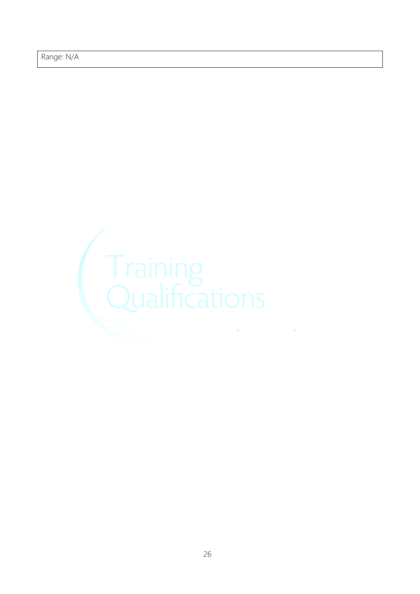![](_page_25_Picture_1.jpeg)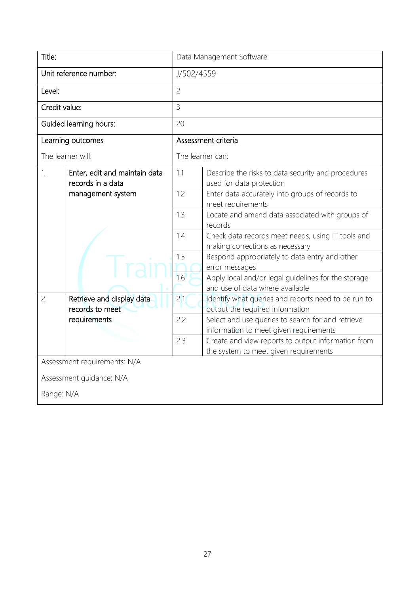| Title:                   |                                                                         | Data Management Software |                                                                                             |  |  |
|--------------------------|-------------------------------------------------------------------------|--------------------------|---------------------------------------------------------------------------------------------|--|--|
| Unit reference number:   |                                                                         |                          | J/502/4559                                                                                  |  |  |
| Level:                   |                                                                         | $\overline{c}$           |                                                                                             |  |  |
| Credit value:            |                                                                         | $\overline{3}$           |                                                                                             |  |  |
| Guided learning hours:   |                                                                         | 20                       |                                                                                             |  |  |
|                          | Learning outcomes                                                       |                          | Assessment criteria                                                                         |  |  |
|                          | The learner will:                                                       |                          | The learner can:                                                                            |  |  |
| 1.                       | Enter, edit and maintain data<br>records in a data<br>management system | 1.1                      | Describe the risks to data security and procedures<br>used for data protection              |  |  |
|                          |                                                                         | 1.2                      | Enter data accurately into groups of records to<br>meet requirements                        |  |  |
|                          |                                                                         | 1.3                      | Locate and amend data associated with groups of<br>records                                  |  |  |
|                          |                                                                         | 1.4                      | Check data records meet needs, using IT tools and<br>making corrections as necessary        |  |  |
|                          |                                                                         | 1.5                      | Respond appropriately to data entry and other<br>error messages                             |  |  |
|                          |                                                                         | 1.6                      | Apply local and/or legal guidelines for the storage<br>and use of data where available      |  |  |
| 2.                       | Retrieve and display data<br>records to meet<br>requirements            | 2.1                      | Identify what queries and reports need to be run to<br>output the required information      |  |  |
|                          |                                                                         | 2.2                      | Select and use queries to search for and retrieve<br>information to meet given requirements |  |  |
|                          |                                                                         | 2.3                      | Create and view reports to output information from<br>the system to meet given requirements |  |  |
|                          | Assessment requirements: N/A                                            |                          |                                                                                             |  |  |
| Assessment guidance: N/A |                                                                         |                          |                                                                                             |  |  |
| Range: N/A               |                                                                         |                          |                                                                                             |  |  |
|                          |                                                                         |                          |                                                                                             |  |  |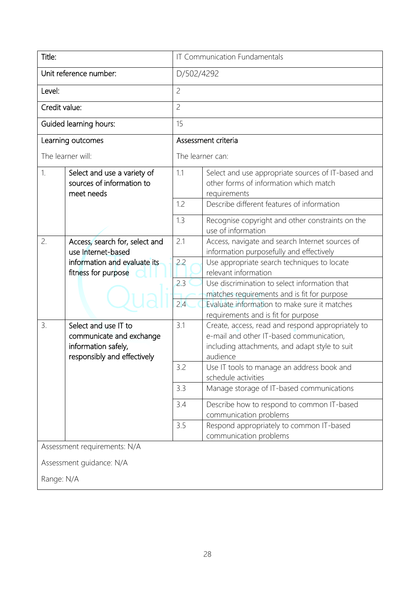| Title:                       |                                                                                                        | <b>IT Communication Fundamentals</b> |                                                                                                                                                             |  |
|------------------------------|--------------------------------------------------------------------------------------------------------|--------------------------------------|-------------------------------------------------------------------------------------------------------------------------------------------------------------|--|
| Unit reference number:       |                                                                                                        | D/502/4292                           |                                                                                                                                                             |  |
| Level:                       |                                                                                                        | $\overline{c}$                       |                                                                                                                                                             |  |
| Credit value:                |                                                                                                        | $\overline{c}$                       |                                                                                                                                                             |  |
|                              | Guided learning hours:                                                                                 | 15                                   |                                                                                                                                                             |  |
|                              | Learning outcomes                                                                                      |                                      | Assessment criteria                                                                                                                                         |  |
|                              | The learner will:                                                                                      |                                      | The learner can:                                                                                                                                            |  |
| 1.                           | Select and use a variety of<br>sources of information to<br>meet needs                                 | 1.1                                  | Select and use appropriate sources of IT-based and<br>other forms of information which match<br>requirements                                                |  |
|                              |                                                                                                        | 1.2                                  | Describe different features of information                                                                                                                  |  |
|                              |                                                                                                        | 1.3                                  | Recognise copyright and other constraints on the<br>use of information                                                                                      |  |
| 2.                           | Access, search for, select and<br>use Internet-based                                                   | 2.1                                  | Access, navigate and search Internet sources of<br>information purposefully and effectively                                                                 |  |
|                              | information and evaluate its<br>fitness for purpose                                                    | 2.2                                  | Use appropriate search techniques to locate<br>relevant information                                                                                         |  |
|                              |                                                                                                        | 2.3                                  | Use discrimination to select information that<br>matches requirements and is fit for purpose                                                                |  |
|                              |                                                                                                        | 2.4                                  | Evaluate information to make sure it matches<br>requirements and is fit for purpose                                                                         |  |
| 3.                           | Select and use IT to<br>communicate and exchange<br>information safely,<br>responsibly and effectively | 3.1                                  | Create, access, read and respond appropriately to<br>e-mail and other IT-based communication,<br>including attachments, and adapt style to suit<br>audience |  |
|                              |                                                                                                        | 3.2                                  | Use IT tools to manage an address book and<br>schedule activities                                                                                           |  |
|                              |                                                                                                        | 3.3                                  | Manage storage of IT-based communications                                                                                                                   |  |
|                              |                                                                                                        | 3.4                                  | Describe how to respond to common IT-based<br>communication problems                                                                                        |  |
|                              |                                                                                                        | 3.5                                  | Respond appropriately to common IT-based<br>communication problems                                                                                          |  |
| Assessment requirements: N/A |                                                                                                        |                                      |                                                                                                                                                             |  |
| Assessment guidance: N/A     |                                                                                                        |                                      |                                                                                                                                                             |  |
| Range: N/A                   |                                                                                                        |                                      |                                                                                                                                                             |  |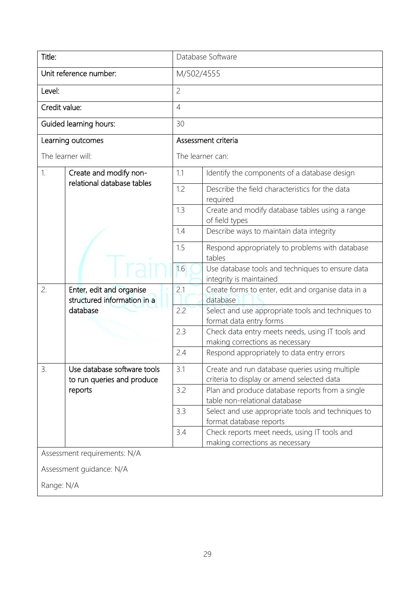| Title:                   |                                                                     | Database Software |                                                                                              |  |  |
|--------------------------|---------------------------------------------------------------------|-------------------|----------------------------------------------------------------------------------------------|--|--|
| Unit reference number:   |                                                                     |                   | M/502/4555                                                                                   |  |  |
| Level:                   |                                                                     | $\overline{c}$    |                                                                                              |  |  |
| Credit value:            |                                                                     | $\overline{4}$    |                                                                                              |  |  |
|                          | Guided learning hours:                                              | 30                |                                                                                              |  |  |
|                          | Learning outcomes                                                   |                   | Assessment criteria                                                                          |  |  |
|                          | The learner will:                                                   |                   | The learner can:                                                                             |  |  |
| 1.                       | Create and modify non-                                              | 1.1               | Identify the components of a database design                                                 |  |  |
|                          | relational database tables                                          | 1.2               | Describe the field characteristics for the data<br>required                                  |  |  |
|                          |                                                                     | 1.3               | Create and modify database tables using a range<br>of field types                            |  |  |
|                          |                                                                     | 1.4               | Describe ways to maintain data integrity                                                     |  |  |
|                          |                                                                     | 1.5               | Respond appropriately to problems with database<br>tables                                    |  |  |
|                          |                                                                     | 1.6               | Use database tools and techniques to ensure data<br>integrity is maintained                  |  |  |
| 2.                       | Enter, edit and organise<br>structured information in a<br>database | 2.1               | Create forms to enter, edit and organise data in a<br>database                               |  |  |
|                          |                                                                     | 2.2               | Select and use appropriate tools and techniques to<br>format data entry forms                |  |  |
|                          |                                                                     | 2.3               | Check data entry meets needs, using IT tools and<br>making corrections as necessary          |  |  |
|                          |                                                                     | 2.4               | Respond appropriately to data entry errors                                                   |  |  |
| 3.                       | Use database software tools<br>to run queries and produce           | 3.1               | Create and run database queries using multiple<br>criteria to display or amend selected data |  |  |
|                          | reports                                                             | 3.2               | Plan and produce database reports from a single<br>table non-relational database             |  |  |
|                          |                                                                     | 3.3               | Select and use appropriate tools and techniques to<br>format database reports                |  |  |
|                          |                                                                     | 3.4               | Check reports meet needs, using IT tools and<br>making corrections as necessary              |  |  |
|                          | Assessment requirements: N/A                                        |                   |                                                                                              |  |  |
| Assessment guidance: N/A |                                                                     |                   |                                                                                              |  |  |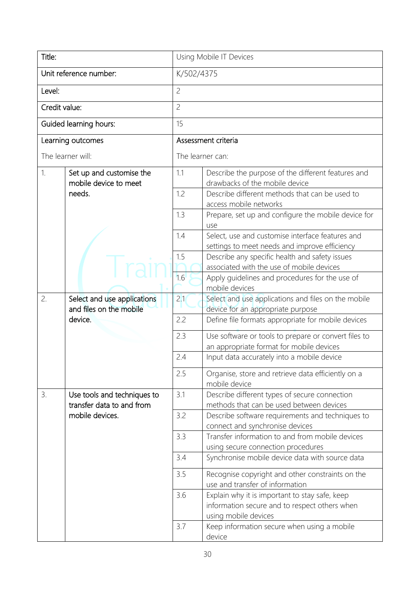| Title:                                                  |                                                          | Using Mobile IT Devices |                                                                                                                         |  |  |
|---------------------------------------------------------|----------------------------------------------------------|-------------------------|-------------------------------------------------------------------------------------------------------------------------|--|--|
|                                                         | Unit reference number:                                   |                         | K/502/4375                                                                                                              |  |  |
| Level:                                                  |                                                          | $\overline{c}$          |                                                                                                                         |  |  |
| Credit value:                                           |                                                          | $\overline{c}$          |                                                                                                                         |  |  |
|                                                         | Guided learning hours:                                   | 15                      |                                                                                                                         |  |  |
|                                                         | Learning outcomes                                        |                         | Assessment criteria                                                                                                     |  |  |
|                                                         | The learner will:                                        |                         | The learner can:                                                                                                        |  |  |
| 1.<br>Set up and customise the<br>mobile device to meet |                                                          | 1.1                     | Describe the purpose of the different features and<br>drawbacks of the mobile device                                    |  |  |
|                                                         | needs.                                                   | 1.2                     | Describe different methods that can be used to<br>access mobile networks                                                |  |  |
|                                                         |                                                          | 1.3                     | Prepare, set up and configure the mobile device for<br>use                                                              |  |  |
|                                                         |                                                          | 1.4                     | Select, use and customise interface features and<br>settings to meet needs and improve efficiency                       |  |  |
|                                                         |                                                          | 1.5                     | Describe any specific health and safety issues<br>associated with the use of mobile devices                             |  |  |
|                                                         |                                                          | 1.6                     | Apply guidelines and procedures for the use of<br>mobile devices                                                        |  |  |
| 2.                                                      | Select and use applications<br>and files on the mobile   | 2.1                     | Select and use applications and files on the mobile<br>device for an appropriate purpose                                |  |  |
|                                                         | device.                                                  | 2.2                     | Define file formats appropriate for mobile devices                                                                      |  |  |
|                                                         |                                                          | 2.3                     | Use software or tools to prepare or convert files to<br>an appropriate format for mobile devices                        |  |  |
|                                                         |                                                          | 2.4                     | Input data accurately into a mobile device                                                                              |  |  |
|                                                         |                                                          | 2.5                     | Organise, store and retrieve data efficiently on a<br>mobile device                                                     |  |  |
| 3.                                                      | Use tools and techniques to<br>transfer data to and from | 3.1                     | Describe different types of secure connection<br>methods that can be used between devices                               |  |  |
|                                                         | mobile devices.                                          | 3.2                     | Describe software requirements and techniques to<br>connect and synchronise devices                                     |  |  |
|                                                         |                                                          | 3.3                     | Transfer information to and from mobile devices<br>using secure connection procedures                                   |  |  |
|                                                         |                                                          | 3.4                     | Synchronise mobile device data with source data                                                                         |  |  |
|                                                         |                                                          | 3.5                     | Recognise copyright and other constraints on the<br>use and transfer of information                                     |  |  |
|                                                         |                                                          | 3.6                     | Explain why it is important to stay safe, keep<br>information secure and to respect others when<br>using mobile devices |  |  |
|                                                         |                                                          | 3.7                     | Keep information secure when using a mobile<br>device                                                                   |  |  |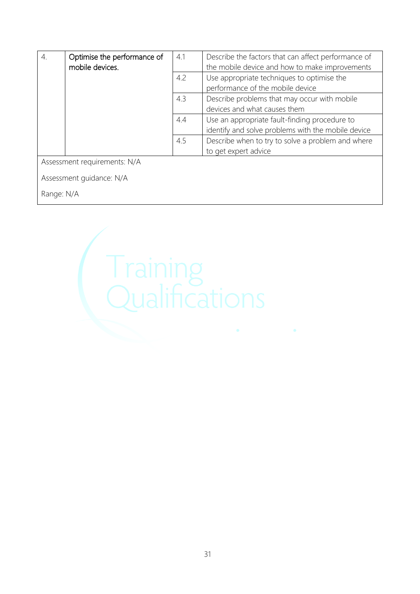| $\overline{4}$ .             | Optimise the performance of | 4.1 | Describe the factors that can affect performance of |  |  |
|------------------------------|-----------------------------|-----|-----------------------------------------------------|--|--|
|                              | mobile devices.             |     | the mobile device and how to make improvements      |  |  |
|                              |                             | 4.2 | Use appropriate techniques to optimise the          |  |  |
|                              |                             |     | performance of the mobile device                    |  |  |
|                              |                             | 4.3 | Describe problems that may occur with mobile        |  |  |
|                              |                             |     | devices and what causes them                        |  |  |
|                              |                             | 4.4 | Use an appropriate fault-finding procedure to       |  |  |
|                              |                             |     | identify and solve problems with the mobile device  |  |  |
|                              |                             | 4.5 | Describe when to try to solve a problem and where   |  |  |
|                              |                             |     | to get expert advice                                |  |  |
| Assessment requirements: N/A |                             |     |                                                     |  |  |
|                              |                             |     |                                                     |  |  |
| Assessment guidance: N/A     |                             |     |                                                     |  |  |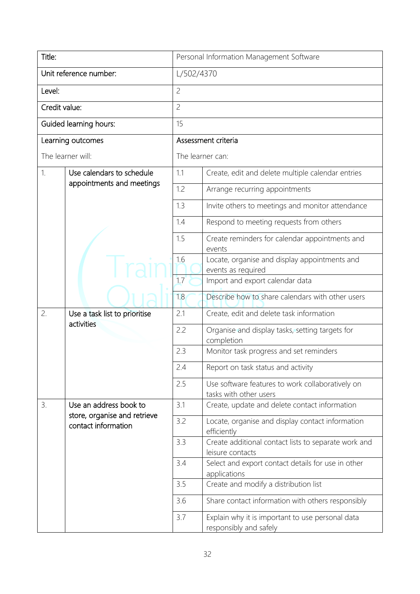| Title:                 |                                                                               | Personal Information Management Software |                                                                            |  |  |
|------------------------|-------------------------------------------------------------------------------|------------------------------------------|----------------------------------------------------------------------------|--|--|
| Unit reference number: |                                                                               |                                          | L/502/4370                                                                 |  |  |
| Level:                 |                                                                               | $\overline{c}$                           |                                                                            |  |  |
| Credit value:          |                                                                               | $\overline{c}$                           |                                                                            |  |  |
|                        | Guided learning hours:                                                        | 15                                       |                                                                            |  |  |
|                        | Learning outcomes                                                             |                                          | Assessment criteria                                                        |  |  |
|                        | The learner will:                                                             |                                          | The learner can:                                                           |  |  |
| 1.                     | Use calendars to schedule                                                     | 1.1                                      | Create, edit and delete multiple calendar entries                          |  |  |
|                        | appointments and meetings                                                     | 1.2                                      | Arrange recurring appointments                                             |  |  |
|                        |                                                                               | 1.3                                      | Invite others to meetings and monitor attendance                           |  |  |
|                        |                                                                               | 1.4                                      | Respond to meeting requests from others                                    |  |  |
|                        |                                                                               | 1.5                                      | Create reminders for calendar appointments and<br>events                   |  |  |
|                        |                                                                               | 1.6                                      | Locate, organise and display appointments and<br>events as required        |  |  |
|                        |                                                                               | 1.7                                      | Import and export calendar data                                            |  |  |
|                        |                                                                               | 1.8                                      | Describe how to share calendars with other users                           |  |  |
| 2.                     | Use a task list to prioritise<br>activities                                   | 2.1                                      | Create, edit and delete task information                                   |  |  |
|                        |                                                                               | 2.2                                      | Organise and display tasks, setting targets for<br>completion              |  |  |
|                        |                                                                               | 2.3                                      | Monitor task progress and set reminders                                    |  |  |
|                        |                                                                               | 2.4                                      | Report on task status and activity                                         |  |  |
|                        |                                                                               | 2.5                                      | Use software features to work collaboratively on<br>tasks with other users |  |  |
| 3.                     | Use an address book to<br>store, organise and retrieve<br>contact information | 3.1                                      | Create, update and delete contact information                              |  |  |
|                        |                                                                               | 3.2                                      | Locate, organise and display contact information<br>efficiently            |  |  |
|                        |                                                                               | 3.3                                      | Create additional contact lists to separate work and<br>leisure contacts   |  |  |
|                        |                                                                               | 3.4                                      | Select and export contact details for use in other<br>applications         |  |  |
|                        |                                                                               | 3.5                                      | Create and modify a distribution list                                      |  |  |
|                        |                                                                               | 3.6                                      | Share contact information with others responsibly                          |  |  |
|                        |                                                                               | 3.7                                      | Explain why it is important to use personal data<br>responsibly and safely |  |  |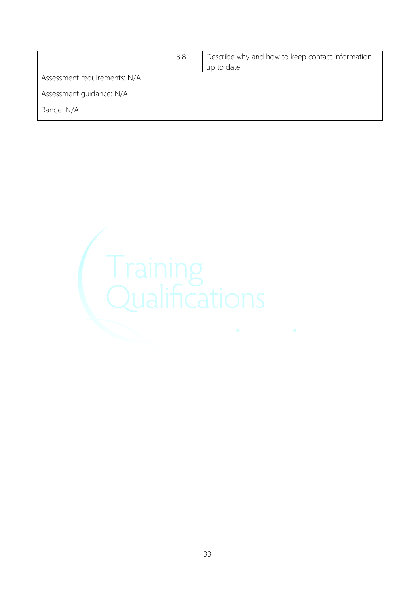|                              |  | 3.8 | Describe why and how to keep contact information<br>up to date |  |  |
|------------------------------|--|-----|----------------------------------------------------------------|--|--|
| Assessment requirements: N/A |  |     |                                                                |  |  |
| Assessment guidance: N/A     |  |     |                                                                |  |  |
| Range: N/A                   |  |     |                                                                |  |  |

![](_page_32_Picture_1.jpeg)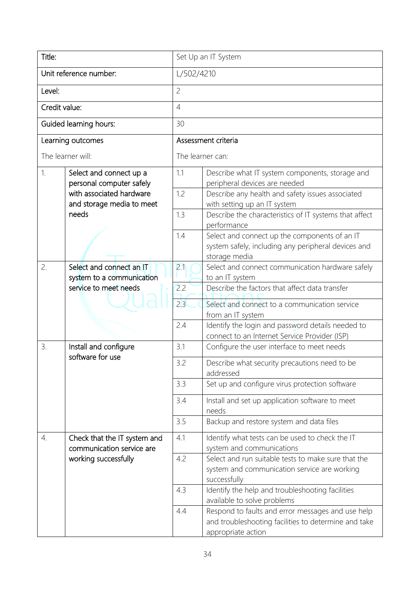| Title:                 |                                                                                | Set Up an IT System                                                                                                   |                                                                                                                                 |  |  |
|------------------------|--------------------------------------------------------------------------------|-----------------------------------------------------------------------------------------------------------------------|---------------------------------------------------------------------------------------------------------------------------------|--|--|
| Unit reference number: |                                                                                |                                                                                                                       | L/502/4210                                                                                                                      |  |  |
| Level:                 |                                                                                | $\overline{c}$                                                                                                        |                                                                                                                                 |  |  |
| Credit value:          |                                                                                | $\overline{4}$                                                                                                        |                                                                                                                                 |  |  |
|                        | Guided learning hours:                                                         | 30                                                                                                                    |                                                                                                                                 |  |  |
|                        | Learning outcomes                                                              |                                                                                                                       | Assessment criteria                                                                                                             |  |  |
|                        | The learner will:                                                              |                                                                                                                       | The learner can:                                                                                                                |  |  |
| 1.                     | Select and connect up a<br>personal computer safely                            | 1.1                                                                                                                   | Describe what IT system components, storage and<br>peripheral devices are needed                                                |  |  |
|                        | with associated hardware<br>and storage media to meet                          | 1.2                                                                                                                   | Describe any health and safety issues associated<br>with setting up an IT system                                                |  |  |
|                        | needs                                                                          | 1.3                                                                                                                   | Describe the characteristics of IT systems that affect<br>performance                                                           |  |  |
|                        | 1.4                                                                            | Select and connect up the components of an IT<br>system safely, including any peripheral devices and<br>storage media |                                                                                                                                 |  |  |
| 2.                     | Select and connect an IT<br>system to a communication<br>service to meet needs | 2.1                                                                                                                   | Select and connect communication hardware safely<br>to an IT system                                                             |  |  |
|                        |                                                                                | 2.2                                                                                                                   | Describe the factors that affect data transfer                                                                                  |  |  |
|                        |                                                                                | 2.3                                                                                                                   | Select and connect to a communication service<br>from an IT system                                                              |  |  |
|                        |                                                                                | 2.4                                                                                                                   | Identify the login and password details needed to<br>connect to an Internet Service Provider (ISP)                              |  |  |
| 3.                     | Install and configure                                                          | 3.1                                                                                                                   | Configure the user interface to meet needs                                                                                      |  |  |
|                        | software for use                                                               | 3.2                                                                                                                   | Describe what security precautions need to be<br>addressed                                                                      |  |  |
|                        |                                                                                | 3.3                                                                                                                   | Set up and configure virus protection software                                                                                  |  |  |
|                        |                                                                                | 3.4                                                                                                                   | Install and set up application software to meet<br>needs                                                                        |  |  |
|                        |                                                                                | 3.5                                                                                                                   | Backup and restore system and data files                                                                                        |  |  |
| 4.                     | Check that the IT system and<br>communication service are                      | 4.1                                                                                                                   | Identify what tests can be used to check the IT<br>system and communications                                                    |  |  |
|                        | working successfully                                                           | 4.2                                                                                                                   | Select and run suitable tests to make sure that the<br>system and communication service are working<br>successfully             |  |  |
|                        |                                                                                | 4.3                                                                                                                   | Identify the help and troubleshooting facilities<br>available to solve problems                                                 |  |  |
|                        |                                                                                | 4.4                                                                                                                   | Respond to faults and error messages and use help<br>and troubleshooting facilities to determine and take<br>appropriate action |  |  |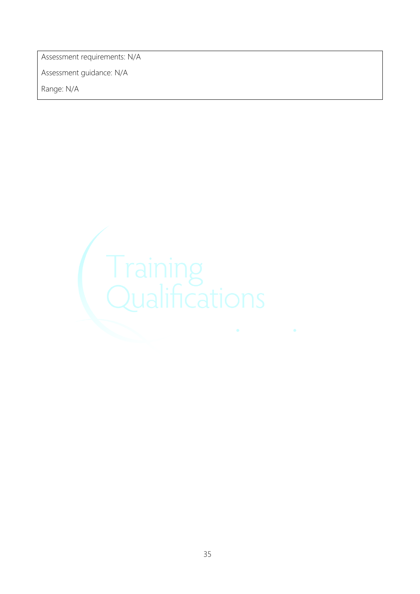Assessment requirements: N/A

Assessment guidance: N/A

![](_page_34_Picture_3.jpeg)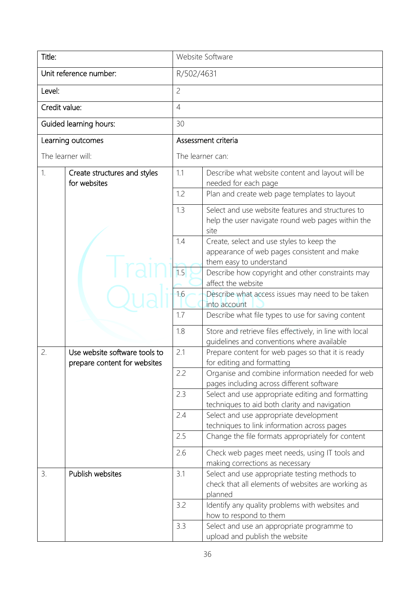| Title:                 |                                                               | Website Software    |                                                                                                                     |  |
|------------------------|---------------------------------------------------------------|---------------------|---------------------------------------------------------------------------------------------------------------------|--|
| Unit reference number: |                                                               | R/502/4631          |                                                                                                                     |  |
| Level:                 |                                                               | $\overline{c}$      |                                                                                                                     |  |
| Credit value:          |                                                               | $\overline{4}$      |                                                                                                                     |  |
| Guided learning hours: |                                                               | 30                  |                                                                                                                     |  |
| Learning outcomes      |                                                               | Assessment criteria |                                                                                                                     |  |
| The learner will:      |                                                               | The learner can:    |                                                                                                                     |  |
| 1.                     | Create structures and styles<br>for websites                  | 1.1                 | Describe what website content and layout will be<br>needed for each page                                            |  |
|                        |                                                               | 1.2                 | Plan and create web page templates to layout                                                                        |  |
|                        |                                                               | 1.3                 | Select and use website features and structures to<br>help the user navigate round web pages within the<br>site      |  |
|                        |                                                               | 1.4                 | Create, select and use styles to keep the<br>appearance of web pages consistent and make<br>them easy to understand |  |
|                        |                                                               | 1.5                 | Describe how copyright and other constraints may<br>affect the website                                              |  |
|                        |                                                               | 1.6                 | Describe what access issues may need to be taken<br>into account                                                    |  |
|                        |                                                               | 1.7                 | Describe what file types to use for saving content                                                                  |  |
|                        |                                                               | 1.8                 | Store and retrieve files effectively, in line with local<br>quidelines and conventions where available              |  |
| 2.                     | Use website software tools to<br>prepare content for websites | 2.1                 | Prepare content for web pages so that it is ready<br>for editing and formatting                                     |  |
|                        |                                                               | 2.2                 | Organise and combine information needed for web<br>pages including across different software                        |  |
|                        |                                                               | 2.3                 | Select and use appropriate editing and formatting<br>techniques to aid both clarity and navigation                  |  |
|                        |                                                               | 2.4                 | Select and use appropriate development<br>techniques to link information across pages                               |  |
|                        |                                                               | 2.5                 | Change the file formats appropriately for content                                                                   |  |
|                        |                                                               | 2.6                 | Check web pages meet needs, using IT tools and<br>making corrections as necessary                                   |  |
| 3.                     | Publish websites                                              | 3.1                 | Select and use appropriate testing methods to<br>check that all elements of websites are working as<br>planned      |  |
|                        |                                                               | 3.2                 | Identify any quality problems with websites and<br>how to respond to them                                           |  |
|                        |                                                               | 3.3                 | Select and use an appropriate programme to<br>upload and publish the website                                        |  |